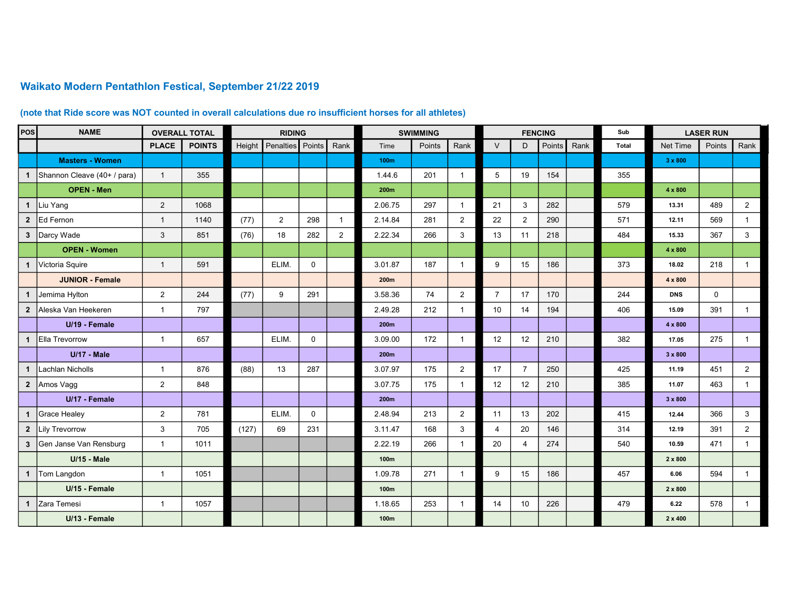## Waikato Modern Pentathlon Festical, September 21/22 2019

## (note that Ride score was NOT counted in overall calculations due ro insufficient horses for all athletes)

| <b>POS</b>     | <b>NAME</b>                   |                | <b>OVERALL TOTAL</b> | <b>RIDING</b> |                  |             |                | <b>SWIMMING</b>  |        |                         | <b>FENCING</b> |                |        |      | Sub          | <b>LASER RUN</b> |          |                |
|----------------|-------------------------------|----------------|----------------------|---------------|------------------|-------------|----------------|------------------|--------|-------------------------|----------------|----------------|--------|------|--------------|------------------|----------|----------------|
|                |                               | <b>PLACE</b>   | <b>POINTS</b>        | Height        | Penalties Points |             | Rank           | Time             | Points | Rank                    | V              | D.             | Points | Rank | <b>Total</b> | Net Time         | Points   | Rank           |
|                | <b>Masters - Women</b>        |                |                      |               |                  |             |                | 100 <sub>m</sub> |        |                         |                |                |        |      |              | 3 x 800          |          |                |
|                | 1 Shannon Cleave (40+ / para) | $\overline{1}$ | 355                  |               |                  |             |                | 1.44.6           | 201    | $\overline{1}$          | 5              | 19             | 154    |      | 355          |                  |          |                |
|                | <b>OPEN - Men</b>             |                |                      |               |                  |             |                | 200m             |        |                         |                |                |        |      |              | 4 x 800          |          |                |
|                | 1 Liu Yang                    | $\overline{2}$ | 1068                 |               |                  |             |                | 2.06.75          | 297    | $\overline{1}$          | 21             | 3              | 282    |      | 579          | 13.31            | 489      | $\overline{2}$ |
|                | 2 Ed Fernon                   | $\overline{1}$ | 1140                 | (77)          | $\overline{2}$   | 298         | $\mathbf{1}$   | 2.14.84          | 281    | $\overline{2}$          | 22             | 2              | 290    |      | 571          | 12.11            | 569      | $\mathbf{1}$   |
|                | 3 Darcy Wade                  | 3              | 851                  | (76)          | 18               | 282         | $\overline{2}$ | 2.22.34          | 266    | 3                       | 13             | 11             | 218    |      | 484          | 15.33            | 367      | 3              |
|                | <b>OPEN - Women</b>           |                |                      |               |                  |             |                |                  |        |                         |                |                |        |      |              | 4 x 800          |          |                |
| $\mathbf{1}$   | Victoria Squire               | $\overline{1}$ | 591                  |               | ELIM.            | $\Omega$    |                | 3.01.87          | 187    | $\overline{1}$          | 9              | 15             | 186    |      | 373          | 18.02            | 218      | $\mathbf{1}$   |
|                | <b>JUNIOR - Female</b>        |                |                      |               |                  |             |                | 200m             |        |                         |                |                |        |      |              | 4 x 800          |          |                |
| $\mathbf{1}$   | Jemima Hylton                 | $\overline{2}$ | 244                  | (77)          | 9                | 291         |                | 3.58.36          | 74     | 2                       | $\overline{7}$ | 17             | 170    |      | 244          | <b>DNS</b>       | $\Omega$ |                |
| $\mathbf{2}$   | Aleska Van Heekeren           | $\overline{1}$ | 797                  |               |                  |             |                | 2.49.28          | 212    | $\overline{1}$          | 10             | 14             | 194    |      | 406          | 15.09            | 391      | $\overline{1}$ |
|                | U/19 - Female                 |                |                      |               |                  |             |                | 200m             |        |                         |                |                |        |      |              | 4 x 800          |          |                |
| $\mathbf{1}$   | <b>Ella Trevorrow</b>         | $\overline{1}$ | 657                  |               | ELIM.            | $\mathbf 0$ |                | 3.09.00          | 172    | $\overline{1}$          | 12             | 12             | 210    |      | 382          | 17.05            | 275      | $\mathbf{1}$   |
|                | $U/17 - Male$                 |                |                      |               |                  |             |                | 200m             |        |                         |                |                |        |      |              | 3 x 800          |          |                |
|                | 1 Lachlan Nicholls            | $\overline{1}$ | 876                  | (88)          | 13               | 287         |                | 3.07.97          | 175    | 2                       | 17             | $\overline{7}$ | 250    |      | 425          | 11.19            | 451      | $\overline{2}$ |
| $\overline{2}$ | Amos Vagg                     | $\overline{2}$ | 848                  |               |                  |             |                | 3.07.75          | 175    | $\overline{\mathbf{1}}$ | 12             | 12             | 210    |      | 385          | 11.07            | 463      | $\mathbf{1}$   |
|                | U/17 - Female                 |                |                      |               |                  |             |                | 200m             |        |                         |                |                |        |      |              | $3 \times 800$   |          |                |
| $\mathbf{1}$   | Grace Healey                  | $\overline{2}$ | 781                  |               | ELIM.            | $\mathbf 0$ |                | 2.48.94          | 213    | $\overline{a}$          | 11             | 13             | 202    |      | 415          | 12.44            | 366      | 3              |
|                | 2 Lily Trevorrow              | 3              | 705                  | (127)         | 69               | 231         |                | 3.11.47          | 168    | $\mathbf{3}$            | $\overline{4}$ | 20             | 146    |      | 314          | 12.19            | 391      | $\overline{2}$ |
|                | 3 Gen Janse Van Rensburg      | $\overline{1}$ | 1011                 |               |                  |             |                | 2.22.19          | 266    | $\overline{1}$          | 20             | 4              | 274    |      | 540          | 10.59            | 471      | $\mathbf{1}$   |
|                | <b>U/15 - Male</b>            |                |                      |               |                  |             |                | 100m             |        |                         |                |                |        |      |              | 2 x 800          |          |                |
| $\mathbf{1}$   | Tom Langdon                   | $\overline{1}$ | 1051                 |               |                  |             |                | 1.09.78          | 271    | $\overline{1}$          | 9              | 15             | 186    |      | 457          | 6.06             | 594      | $\mathbf{1}$   |
|                | U/15 - Female                 |                |                      |               |                  |             |                | 100m             |        |                         |                |                |        |      |              | 2 x 800          |          |                |
| $\mathbf{1}$   | Zara Temesi                   | $\overline{1}$ | 1057                 |               |                  |             |                | 1.18.65          | 253    | $\overline{1}$          | 14             | 10             | 226    |      | 479          | 6.22             | 578      | $\mathbf{1}$   |
|                | U/13 - Female                 |                |                      |               |                  |             |                | 100m             |        |                         |                |                |        |      |              | $2 \times 400$   |          |                |